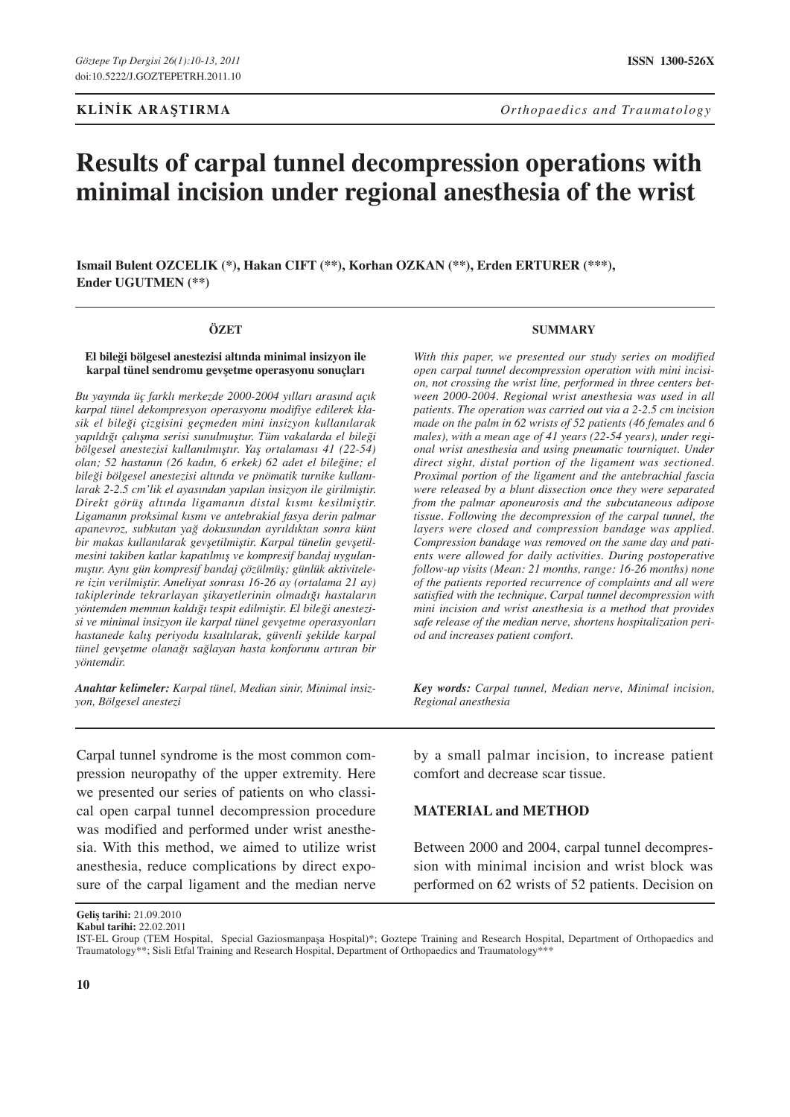# **Results of carpal tunnel decompression operations with minimal incision under regional anesthesia of the wrist**

**Ismail Bulent OZCELIK (\*), Hakan CIFT (\*\*), Korhan OZKAN (\*\*), Erden ERTURER (\*\*\*), Ender UGUTMEN (\*\*)** 

#### **ÖZET**

#### **El bileği bölgesel anestezisi altında minimal insizyon ile karpal tünel sendromu gevşetme operasyonu sonuçları**

*Bu yayında üç farklı merkezde 2000-2004 yılları arasınd açık karpal tünel dekompresyon operasyonu modifiye edilerek klasik el bileği çizgisini geçmeden mini insizyon kullanılarak yapıldığı çalışma serisi sunulmuştur. Tüm vakalarda el bileği bölgesel anestezisi kullanılmıştır. Yaş ortalaması 41 (22-54) olan; 52 hastanın (26 kadın, 6 erkek) 62 adet el bileğine; el bileği bölgesel anestezisi altında ve pnömatik turnike kullanılarak 2-2.5 cm'lik el ayasından yapılan insizyon ile girilmiştir. Direkt görüş altında ligamanın distal kısmı kesilmiştir. Ligamanın proksimal kısmı ve antebrakial fasya derin palmar apanevroz, subkutan yağ dokusundan ayrıldıktan sonra künt bir makas kullanılarak gevşetilmiştir. Karpal tünelin gevşetilmesini takiben katlar kapatılmış ve kompresif bandaj uygulanmıştır. Aynı gün kompresif bandaj çözülmüş; günlük aktivitelere izin verilmiştir. Ameliyat sonrası 16-26 ay (ortalama 21 ay) takiplerinde tekrarlayan şikayetlerinin olmadığı hastaların yöntemden memnun kaldığı tespit edilmiştir. El bileği anestezisi ve minimal insizyon ile karpal tünel gevşetme operasyonları hastanede kalış periyodu kısaltılarak, güvenli şekilde karpal tünel gevşetme olanağı sağlayan hasta konforunu artıran bir yöntemdir.*

*Anahtar kelimeler: Karpal tünel, Median sinir, Minimal insizyon, Bölgesel anestezi*

Carpal tunnel syndrome is the most common compression neuropathy of the upper extremity. Here we presented our series of patients on who classical open carpal tunnel decompression procedure was modified and performed under wrist anesthesia. With this method, we aimed to utilize wrist anesthesia, reduce complications by direct exposure of the carpal ligament and the median nerve

#### **SUMMARY**

*With this paper, we presented our study series on modified open carpal tunnel decompression operation with mini incision, not crossing the wrist line, performed in three centers between 2000-2004. Regional wrist anesthesia was used in all patients. The operation was carried out via a 2-2.5 cm incision made on the palm in 62 wrists of 52 patients (46 females and 6 males), with a mean age of 41 years (22-54 years), under regional wrist anesthesia and using pneumatic tourniquet. Under direct sight, distal portion of the ligament was sectioned. Proximal portion of the ligament and the antebrachial fascia were released by a blunt dissection once they were separated from the palmar aponeurosis and the subcutaneous adipose tissue. Following the decompression of the carpal tunnel, the layers were closed and compression bandage was applied. Compression bandage was removed on the same day and patients were allowed for daily activities. During postoperative follow-up visits (Mean: 21 months, range: 16-26 months) none of the patients reported recurrence of complaints and all were satisfied with the technique. Carpal tunnel decompression with mini incision and wrist anesthesia is a method that provides safe release of the median nerve, shortens hospitalization period and increases patient comfort.*

*Key words: Carpal tunnel, Median nerve, Minimal incision, Regional anesthesia*

by a small palmar incision, to increase patient comfort and decrease scar tissue.

### **MATERIAL and METHOD**

Between 2000 and 2004, carpal tunnel decompression with minimal incision and wrist block was performed on 62 wrists of 52 patients. Decision on

**Kabul tarihi:** 22.02.2011

**Geliş tarihi:** 21.09.2010

IST-EL Group (TEM Hospital, Special Gaziosmanpaşa Hospital)\*; Goztepe Training and Research Hospital, Department of Orthopaedics and Traumatology\*\*; Sisli Etfal Training and Research Hospital, Department of Orthopaedics and Traumatology\*\*\*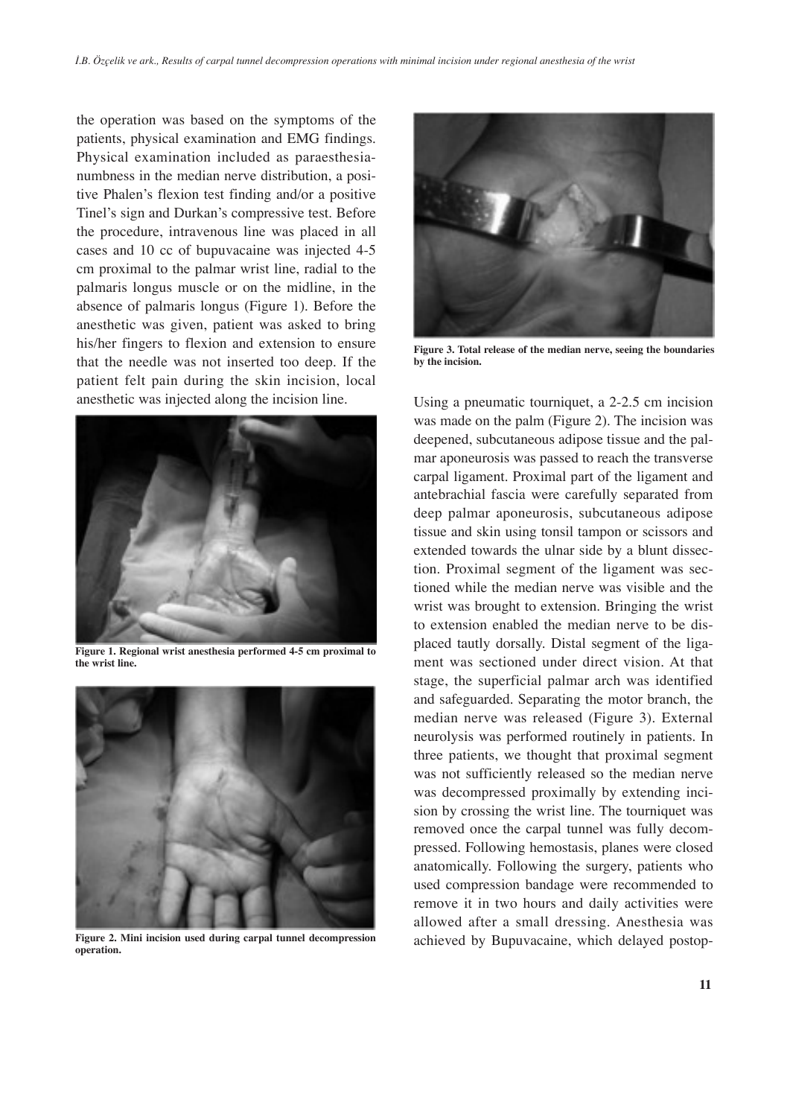the operation was based on the symptoms of the patients, physical examination and EMG findings. Physical examination included as paraesthesianumbness in the median nerve distribution, a positive Phalen's flexion test finding and/or a positive Tinel's sign and Durkan's compressive test. Before the procedure, intravenous line was placed in all cases and 10 cc of bupuvacaine was injected 4-5 cm proximal to the palmar wrist line, radial to the palmaris longus muscle or on the midline, in the absence of palmaris longus (Figure 1). Before the anesthetic was given, patient was asked to bring his/her fingers to flexion and extension to ensure that the needle was not inserted too deep. If the patient felt pain during the skin incision, local anesthetic was injected along the incision line. Using a pneumatic tourniquet, a 2-2.5 cm incision



**Figure 1. Regional wrist anesthesia performed 4-5 cm proximal to the wrist line.**



**Figure 2. Mini incision used during carpal tunnel decompression operation.**



**Figure 3. Total release of the median nerve, seeing the boundaries by the incision.**

was made on the palm (Figure 2). The incision was deepened, subcutaneous adipose tissue and the palmar aponeurosis was passed to reach the transverse carpal ligament. Proximal part of the ligament and antebrachial fascia were carefully separated from deep palmar aponeurosis, subcutaneous adipose tissue and skin using tonsil tampon or scissors and extended towards the ulnar side by a blunt dissection. Proximal segment of the ligament was sectioned while the median nerve was visible and the wrist was brought to extension. Bringing the wrist to extension enabled the median nerve to be displaced tautly dorsally. Distal segment of the ligament was sectioned under direct vision. At that stage, the superficial palmar arch was identified and safeguarded. Separating the motor branch, the median nerve was released (Figure 3). External neurolysis was performed routinely in patients. In three patients, we thought that proximal segment was not sufficiently released so the median nerve was decompressed proximally by extending incision by crossing the wrist line. The tourniquet was removed once the carpal tunnel was fully decompressed. Following hemostasis, planes were closed anatomically. Following the surgery, patients who used compression bandage were recommended to remove it in two hours and daily activities were allowed after a small dressing. Anesthesia was achieved by Bupuvacaine, which delayed postop-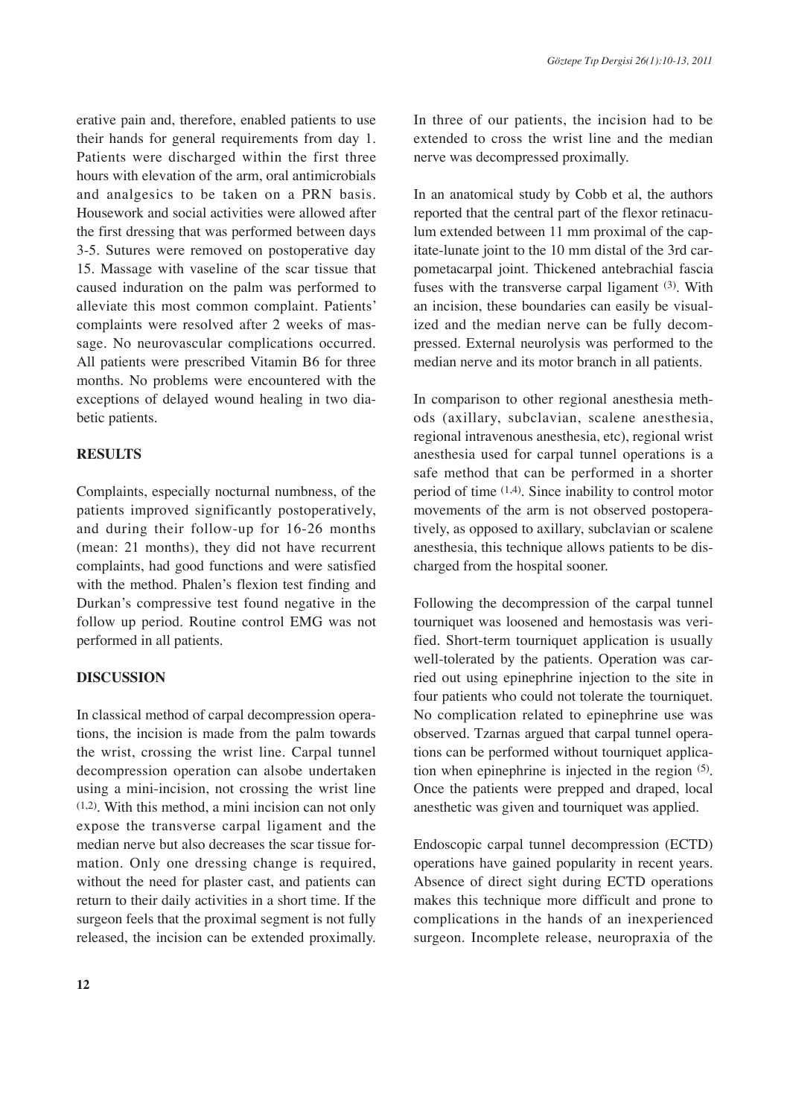erative pain and, therefore, enabled patients to use their hands for general requirements from day 1. Patients were discharged within the first three hours with elevation of the arm, oral antimicrobials and analgesics to be taken on a PRN basis. Housework and social activities were allowed after the first dressing that was performed between days 3-5. Sutures were removed on postoperative day 15. Massage with vaseline of the scar tissue that caused induration on the palm was performed to alleviate this most common complaint. Patients' complaints were resolved after 2 weeks of massage. No neurovascular complications occurred. All patients were prescribed Vitamin B6 for three months. No problems were encountered with the exceptions of delayed wound healing in two diabetic patients.

# **RESULTS**

Complaints, especially nocturnal numbness, of the patients improved significantly postoperatively, and during their follow-up for 16-26 months (mean: 21 months), they did not have recurrent complaints, had good functions and were satisfied with the method. Phalen's flexion test finding and Durkan's compressive test found negative in the follow up period. Routine control EMG was not performed in all patients.

## **DISCUSSION**

In classical method of carpal decompression operations, the incision is made from the palm towards the wrist, crossing the wrist line. Carpal tunnel decompression operation can alsobe undertaken using a mini-incision, not crossing the wrist line (1,2). With this method, a mini incision can not only expose the transverse carpal ligament and the median nerve but also decreases the scar tissue formation. Only one dressing change is required, without the need for plaster cast, and patients can return to their daily activities in a short time. If the surgeon feels that the proximal segment is not fully released, the incision can be extended proximally. In three of our patients, the incision had to be extended to cross the wrist line and the median nerve was decompressed proximally.

In an anatomical study by Cobb et al, the authors reported that the central part of the flexor retinaculum extended between 11 mm proximal of the capitate-lunate joint to the 10 mm distal of the 3rd carpometacarpal joint. Thickened antebrachial fascia fuses with the transverse carpal ligament (3). With an incision, these boundaries can easily be visualized and the median nerve can be fully decompressed. External neurolysis was performed to the median nerve and its motor branch in all patients.

In comparison to other regional anesthesia methods (axillary, subclavian, scalene anesthesia, regional intravenous anesthesia, etc), regional wrist anesthesia used for carpal tunnel operations is a safe method that can be performed in a shorter period of time (1,4). Since inability to control motor movements of the arm is not observed postoperatively, as opposed to axillary, subclavian or scalene anesthesia, this technique allows patients to be discharged from the hospital sooner.

Following the decompression of the carpal tunnel tourniquet was loosened and hemostasis was verified. Short-term tourniquet application is usually well-tolerated by the patients. Operation was carried out using epinephrine injection to the site in four patients who could not tolerate the tourniquet. No complication related to epinephrine use was observed. Tzarnas argued that carpal tunnel operations can be performed without tourniquet application when epinephrine is injected in the region (5). Once the patients were prepped and draped, local anesthetic was given and tourniquet was applied.

Endoscopic carpal tunnel decompression (ECTD) operations have gained popularity in recent years. Absence of direct sight during ECTD operations makes this technique more difficult and prone to complications in the hands of an inexperienced surgeon. Incomplete release, neuropraxia of the